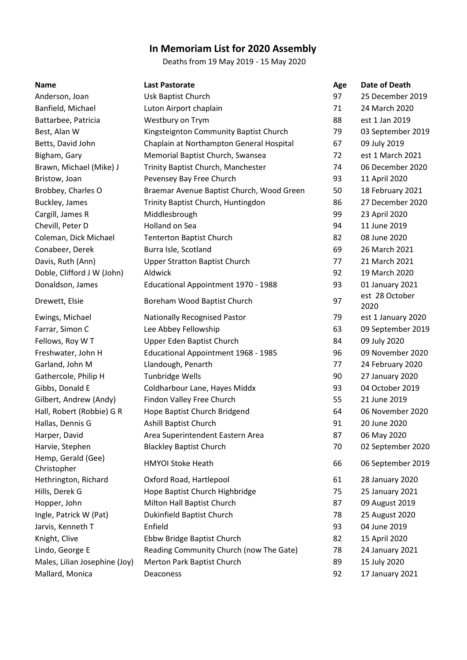## **In Memoriam List for 2020 Assembly**

Deaths from 19 May 2019 - 15 May 2020

| <b>Name</b>                       | <b>Last Pastorate</b>                      | Age | Date of Death          |
|-----------------------------------|--------------------------------------------|-----|------------------------|
| Anderson, Joan                    | Usk Baptist Church                         | 97  | 25 December 2019       |
| Banfield, Michael                 | Luton Airport chaplain                     | 71  | 24 March 2020          |
| Battarbee, Patricia               | Westbury on Trym                           | 88  | est 1 Jan 2019         |
| Best, Alan W                      | Kingsteignton Community Baptist Church     | 79  | 03 September 2019      |
| Betts, David John                 | Chaplain at Northampton General Hospital   | 67  | 09 July 2019           |
| Bigham, Gary                      | Memorial Baptist Church, Swansea           | 72  | est 1 March 2021       |
| Brawn, Michael (Mike) J           | Trinity Baptist Church, Manchester         | 74  | 06 December 2020       |
| Bristow, Joan                     | Pevensey Bay Free Church                   | 93  | 11 April 2020          |
| Brobbey, Charles O                | Braemar Avenue Baptist Church, Wood Green  | 50  | 18 February 2021       |
| Buckley, James                    | Trinity Baptist Church, Huntingdon         | 86  | 27 December 2020       |
| Cargill, James R                  | Middlesbrough                              | 99  | 23 April 2020          |
| Chevill, Peter D                  | Holland on Sea                             | 94  | 11 June 2019           |
| Coleman, Dick Michael             | Tenterton Baptist Church                   | 82  | 08 June 2020           |
| Conabeer, Derek                   | Burra Isle, Scotland                       | 69  | 26 March 2021          |
| Davis, Ruth (Ann)                 | <b>Upper Stratton Baptist Church</b>       | 77  | 21 March 2021          |
| Doble, Clifford J W (John)        | Aldwick                                    | 92  | 19 March 2020          |
| Donaldson, James                  | Educational Appointment 1970 - 1988        | 93  | 01 January 2021        |
| Drewett, Elsie                    | Boreham Wood Baptist Church                | 97  | est 28 October<br>2020 |
| Ewings, Michael                   | <b>Nationally Recognised Pastor</b>        | 79  | est 1 January 2020     |
| Farrar, Simon C                   | Lee Abbey Fellowship                       | 63  | 09 September 2019      |
| Fellows, Roy W T                  | Upper Eden Baptist Church                  | 84  | 09 July 2020           |
| Freshwater, John H                | <b>Educational Appointment 1968 - 1985</b> | 96  | 09 November 2020       |
| Garland, John M                   | Llandough, Penarth                         | 77  | 24 February 2020       |
| Gathercole, Philip H              | <b>Tunbridge Wells</b>                     | 90  | 27 January 2020        |
| Gibbs, Donald E                   | Coldharbour Lane, Hayes Middx              | 93  | 04 October 2019        |
| Gilbert, Andrew (Andy)            | Findon Valley Free Church                  | 55  | 21 June 2019           |
| Hall, Robert (Robbie) G R         | Hope Baptist Church Bridgend               | 64  | 06 November 2020       |
| Hallas, Dennis G                  | Ashill Baptist Church                      | 91  | 20 June 2020           |
| Harper, David                     | Area Superintendent Eastern Area           | 87  | 06 May 2020            |
| Harvie, Stephen                   | <b>Blackley Baptist Church</b>             | 70  | 02 September 2020      |
| Hemp, Gerald (Gee)<br>Christopher | <b>HMYOI Stoke Heath</b>                   | 66  | 06 September 2019      |
| Hethrington, Richard              | Oxford Road, Hartlepool                    | 61  | 28 January 2020        |
| Hills, Derek G                    | Hope Baptist Church Highbridge             | 75  | 25 January 2021        |
| Hopper, John                      | Milton Hall Baptist Church                 | 87  | 09 August 2019         |
| Ingle, Patrick W (Pat)            | Dukinfield Baptist Church                  | 78  | 25 August 2020         |
| Jarvis, Kenneth T                 | Enfield                                    | 93  | 04 June 2019           |
| Knight, Clive                     | Ebbw Bridge Baptist Church                 | 82  | 15 April 2020          |
| Lindo, George E                   | Reading Community Church (now The Gate)    | 78  | 24 January 2021        |
| Males, Lilian Josephine (Joy)     | Merton Park Baptist Church                 | 89  | 15 July 2020           |
| Mallard, Monica                   | Deaconess                                  | 92  | 17 January 2021        |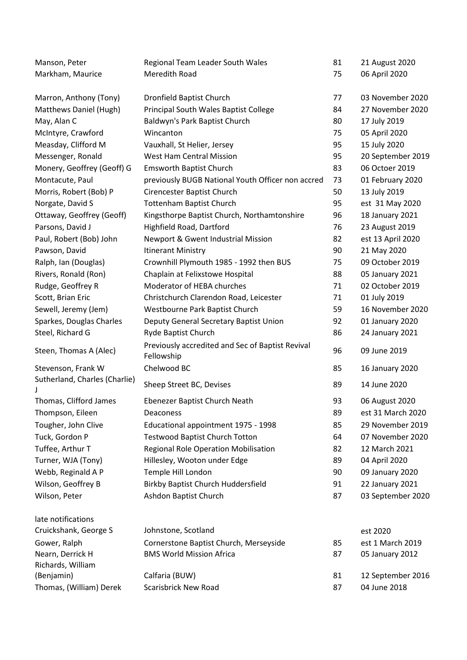| Manson, Peter                 | Regional Team Leader South Wales                               | 81 | 21 August 2020    |
|-------------------------------|----------------------------------------------------------------|----|-------------------|
| Markham, Maurice              | Meredith Road                                                  | 75 | 06 April 2020     |
| Marron, Anthony (Tony)        | <b>Dronfield Baptist Church</b>                                | 77 | 03 November 2020  |
| Matthews Daniel (Hugh)        | Principal South Wales Baptist College                          | 84 | 27 November 2020  |
| May, Alan C                   | Baldwyn's Park Baptist Church                                  | 80 | 17 July 2019      |
| McIntyre, Crawford            | Wincanton                                                      | 75 | 05 April 2020     |
| Measday, Clifford M           | Vauxhall, St Helier, Jersey                                    | 95 | 15 July 2020      |
| Messenger, Ronald             | <b>West Ham Central Mission</b>                                | 95 | 20 September 2019 |
| Monery, Geoffrey (Geoff) G    | <b>Emsworth Baptist Church</b>                                 | 83 | 06 Octoer 2019    |
| Montacute, Paul               | previously BUGB National Youth Officer non accred              | 73 | 01 February 2020  |
| Morris, Robert (Bob) P        | Cirencester Baptist Church                                     | 50 | 13 July 2019      |
| Norgate, David S              | <b>Tottenham Baptist Church</b>                                | 95 | est 31 May 2020   |
| Ottaway, Geoffrey (Geoff)     | Kingsthorpe Baptist Church, Northamtonshire                    | 96 | 18 January 2021   |
| Parsons, David J              | Highfield Road, Dartford                                       | 76 | 23 August 2019    |
| Paul, Robert (Bob) John       | Newport & Gwent Industrial Mission                             | 82 | est 13 April 2020 |
| Pawson, David                 | <b>Itinerant Ministry</b>                                      | 90 | 21 May 2020       |
| Ralph, Ian (Douglas)          | Crownhill Plymouth 1985 - 1992 then BUS                        | 75 | 09 October 2019   |
| Rivers, Ronald (Ron)          | Chaplain at Felixstowe Hospital                                | 88 | 05 January 2021   |
| Rudge, Geoffrey R             | Moderator of HEBA churches                                     | 71 | 02 October 2019   |
| Scott, Brian Eric             | Christchurch Clarendon Road, Leicester                         | 71 | 01 July 2019      |
| Sewell, Jeremy (Jem)          | Westbourne Park Baptist Church                                 | 59 | 16 November 2020  |
| Sparkes, Douglas Charles      | Deputy General Secretary Baptist Union                         | 92 | 01 January 2020   |
| Steel, Richard G              | Ryde Baptist Church                                            | 86 | 24 January 2021   |
| Steen, Thomas A (Alec)        | Previously accredited and Sec of Baptist Revival<br>Fellowship | 96 | 09 June 2019      |
| Stevenson, Frank W            | Chelwood BC                                                    | 85 | 16 January 2020   |
| Sutherland, Charles (Charlie) | Sheep Street BC, Devises                                       | 89 | 14 June 2020      |
| Thomas, Clifford James        | Ebenezer Baptist Church Neath                                  | 93 | 06 August 2020    |
| Thompson, Eileen              | Deaconess                                                      | 89 | est 31 March 2020 |
| Tougher, John Clive           | Educational appointment 1975 - 1998                            | 85 | 29 November 2019  |
| Tuck, Gordon P                | <b>Testwood Baptist Church Totton</b>                          | 64 | 07 November 2020  |
| Tuffee, Arthur T              | Regional Role Operation Mobilisation                           | 82 | 12 March 2021     |
| Turner, WJA (Tony)            | Hillesley, Wooton under Edge                                   | 89 | 04 April 2020     |
| Webb, Reginald A P            | Temple Hill London                                             | 90 | 09 January 2020   |
| Wilson, Geoffrey B            | <b>Birkby Baptist Church Huddersfield</b>                      | 91 | 22 January 2021   |
| Wilson, Peter                 | Ashdon Baptist Church                                          | 87 | 03 September 2020 |
| late notifications            |                                                                |    |                   |
| Cruickshank, George S         | Johnstone, Scotland                                            |    | est 2020          |
| Gower, Ralph                  | Cornerstone Baptist Church, Merseyside                         | 85 | est 1 March 2019  |
| Nearn, Derrick H              | <b>BMS World Mission Africa</b>                                | 87 | 05 January 2012   |
| Richards, William             |                                                                |    |                   |
| (Benjamin)                    | Calfaria (BUW)                                                 | 81 | 12 September 2016 |
| Thomas, (William) Derek       | <b>Scarisbrick New Road</b>                                    | 87 | 04 June 2018      |